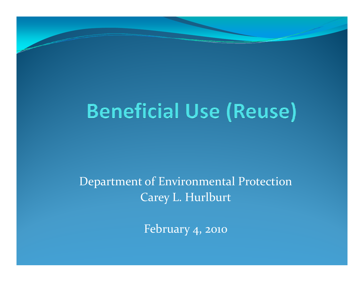# **Beneficial Use (Reuse)**

Department of Environmental Protection Carey L. Hurlburt

February 4, <sup>2010</sup>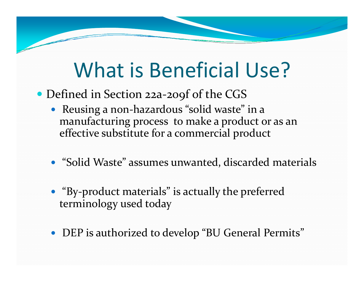## What is Beneficial Use?

- Defined in Section 22a-209f of the CGS
	- Reusing a non-hazardous "solid waste" in a manufacturing process to make a product or as an effective substitute for a commercial product
	- "Solid Waste" assumes unwanted, discarded materials
	- "By-product materials" is actually the preferred terminology used today
	- DEP is authorized to develop "BU General Permits"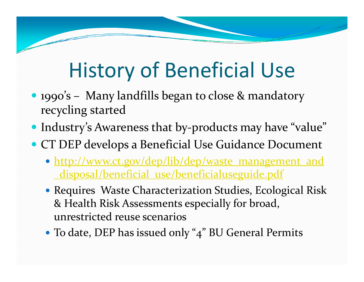# **History of Beneficial Use**

- 1990's Many landfills began to close & mandatory recycling started
- Industry's Awareness that by-products may have "value"
- CT DEP develops a Beneficial Use Guidance Document
	- http://www.ct.gov/dep/lib/dep/waste management and disposal/beneficial\_use/beneficialuseguide.pdf
	- Requires Waste Characterization Studies, Ecological Risk & Health Risk Assessments especially for broad, unrestricted reuse scenarios
	- To date, DEP has issued only "4" BU General Permits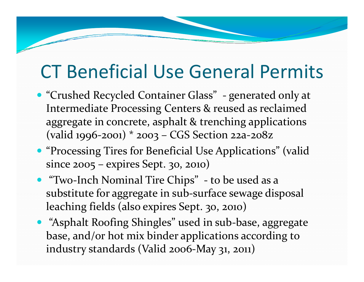#### CT Beneficial Use General Permits

- "Crushed Recycled Container Glass" generated only at Intermediate Processing Centers & reused as reclaimed aggregate in concrete, asphalt & trenching applications (valid <sup>199</sup>6‐2001) \* <sup>2003</sup> – CGS Section 22a‐208z
- **"Processing Tires for Beneficial Use Applications" (valid** since <sup>2005</sup> – expires Sept. 30, 2010)
- "Two-Inch Nominal Tire Chips" to be used as a substitute for aggregate in sub‐surface sewage disposal leaching fields (also expires Sept. 30, 2010)
- "Asphalt Roofing Shingles" used in sub-base, aggregate base, and/or hot mix binder applications according to industry standards (Valid <sup>2006</sup>‐May 31, 2011)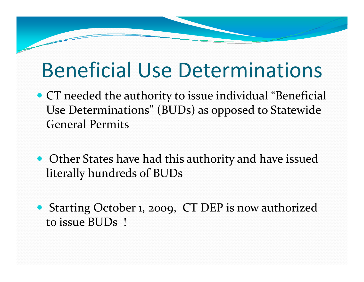### Beneficial Use Determinations

- CT needed the authority to issue individual "Beneficial Use Determinations" (BUDs) as opposed to Statewide General Permits
- Other States have had this authority and have issued literally hundreds of BUDs
- Starting October 1, 2009, CT DEP is now authorized to issue BUDs !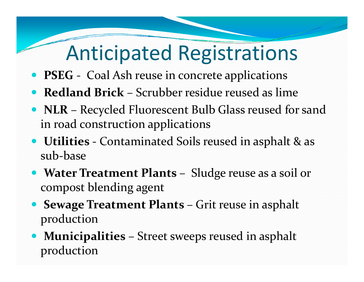#### Anticipated Registrations

- **PSEG** Coal Ash reuse in concrete applications
- y **Redland Brick** Scrubber residue reused as lime
- **NLR** Recycled Fluorescent Bulb Glass reused for sand in road construction applications
- **Utilities** Contaminated Soils reused in asphalt & as sub‐base
- y **Water Treatment Plants** Sludge reuse as <sup>a</sup> soil or compos<sup>t</sup> blending agen<sup>t</sup>
- y **Sewage Treatment Plants** Grit reuse in asphalt production
- **Municipalities** Street sweeps reused in asphalt production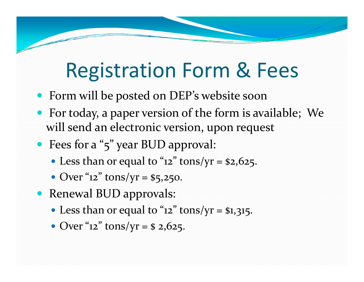## Registration Form & Fees

- Form will be posted on DEP's website soon
- For today, a paper version of the form is available; We will send an electronic version, upon request
- Fees for a "5" year BUD approval:
	- Less than or equal to " $12$ " tons/yr = \$2,625.
	- Over " $12$ " tons/yr = \$5,250.
- Renewal BUD approvals:
	- Less than or equal to " $12$ " tons/yr = \$1,315.
	- Over " $12$ " tons/yr = \$ 2,625.